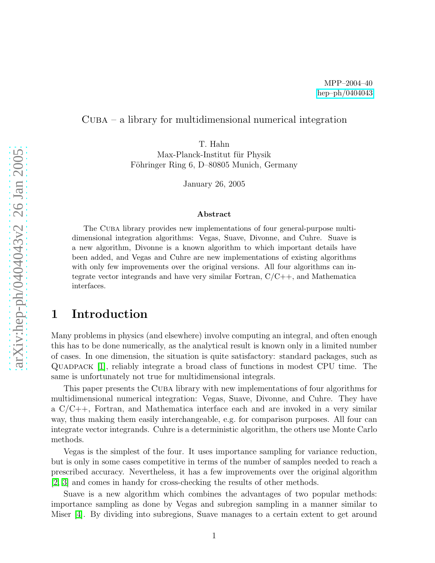#### Cuba – a library for multidimensional numerical integration

T. Hahn

Max-Planck-Institut für Physik Föhringer Ring 6, D–80805 Munich, Germany

January 26, 2005

#### Abstract

The Cuba library provides new implementations of four general-purpose multidimensional integration algorithms: Vegas, Suave, Divonne, and Cuhre. Suave is a new algorithm, Divonne is a known algorithm to which important details have been added, and Vegas and Cuhre are new implementations of existing algorithms with only few improvements over the original versions. All four algorithms can integrate vector integrands and have very similar Fortran, C/C++, and Mathematica interfaces.

# 1 Introduction

Many problems in physics (and elsewhere) involve computing an integral, and often enough this has to be done numerically, as the analytical result is known only in a limited number of cases. In one dimension, the situation is quite satisfactory: standard packages, such as Quadpack [\[1\]](#page-23-0), reliably integrate a broad class of functions in modest CPU time. The same is unfortunately not true for multidimensional integrals.

This paper presents the Cuba library with new implementations of four algorithms for multidimensional numerical integration: Vegas, Suave, Divonne, and Cuhre. They have a C/C++, Fortran, and Mathematica interface each and are invoked in a very similar way, thus making them easily interchangeable, e.g. for comparison purposes. All four can integrate vector integrands. Cuhre is a deterministic algorithm, the others use Monte Carlo methods.

Vegas is the simplest of the four. It uses importance sampling for variance reduction, but is only in some cases competitive in terms of the number of samples needed to reach a prescribed accuracy. Nevertheless, it has a few improvements over the original algorithm [\[2,](#page-23-1) [3\]](#page-24-0) and comes in handy for cross-checking the results of other methods.

Suave is a new algorithm which combines the advantages of two popular methods: importance sampling as done by Vegas and subregion sampling in a manner similar to Miser [\[4\]](#page-24-1). By dividing into subregions, Suave manages to a certain extent to get around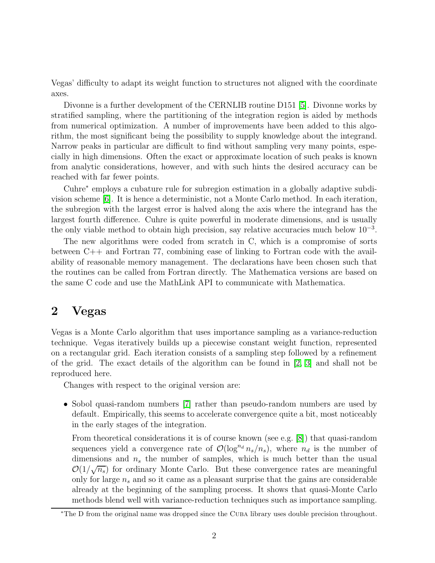Vegas' difficulty to adapt its weight function to structures not aligned with the coordinate axes.

Divonne is a further development of the CERNLIB routine D151 [\[5\]](#page-24-2). Divonne works by stratified sampling, where the partitioning of the integration region is aided by methods from numerical optimization. A number of improvements have been added to this algorithm, the most significant being the possibility to supply knowledge about the integrand. Narrow peaks in particular are difficult to find without sampling very many points, especially in high dimensions. Often the exact or approximate location of such peaks is known from analytic considerations, however, and with such hints the desired accuracy can be reached with far fewer points.

Cuhre<sup>∗</sup> employs a cubature rule for subregion estimation in a globally adaptive subdivision scheme [\[6\]](#page-24-3). It is hence a deterministic, not a Monte Carlo method. In each iteration, the subregion with the largest error is halved along the axis where the integrand has the largest fourth difference. Cuhre is quite powerful in moderate dimensions, and is usually the only viable method to obtain high precision, say relative accuracies much below  $10^{-3}$ .

The new algorithms were coded from scratch in C, which is a compromise of sorts between C++ and Fortran 77, combining ease of linking to Fortran code with the availability of reasonable memory management. The declarations have been chosen such that the routines can be called from Fortran directly. The Mathematica versions are based on the same C code and use the MathLink API to communicate with Mathematica.

# 2 Vegas

Vegas is a Monte Carlo algorithm that uses importance sampling as a variance-reduction technique. Vegas iteratively builds up a piecewise constant weight function, represented on a rectangular grid. Each iteration consists of a sampling step followed by a refinement of the grid. The exact details of the algorithm can be found in [\[2,](#page-23-1) [3\]](#page-24-0) and shall not be reproduced here.

Changes with respect to the original version are:

• Sobol quasi-random numbers [\[7\]](#page-24-4) rather than pseudo-random numbers are used by default. Empirically, this seems to accelerate convergence quite a bit, most noticeably in the early stages of the integration.

From theoretical considerations it is of course known (see e.g. [\[8\]](#page-24-5)) that quasi-random sequences yield a convergence rate of  $\mathcal{O}(\log^{n_d} n_s/n_s)$ , where  $n_d$  is the number of dimensions and  $n<sub>s</sub>$  the number of samples, which is much better than the usual  $\mathcal{O}(1/\sqrt{n_s})$  for ordinary Monte Carlo. But these convergence rates are meaningful only for large  $n_s$  and so it came as a pleasant surprise that the gains are considerable already at the beginning of the sampling process. It shows that quasi-Monte Carlo methods blend well with variance-reduction techniques such as importance sampling.

<sup>∗</sup>The D from the original name was dropped since the Cuba library uses double precision throughout.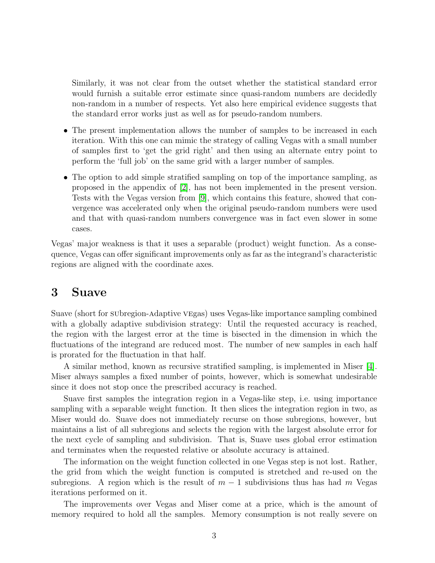Similarly, it was not clear from the outset whether the statistical standard error would furnish a suitable error estimate since quasi-random numbers are decidedly non-random in a number of respects. Yet also here empirical evidence suggests that the standard error works just as well as for pseudo-random numbers.

- The present implementation allows the number of samples to be increased in each iteration. With this one can mimic the strategy of calling Vegas with a small number of samples first to 'get the grid right' and then using an alternate entry point to perform the 'full job' on the same grid with a larger number of samples.
- The option to add simple stratified sampling on top of the importance sampling, as proposed in the appendix of [\[2\]](#page-23-1), has not been implemented in the present version. Tests with the Vegas version from [\[9\]](#page-24-6), which contains this feature, showed that convergence was accelerated only when the original pseudo-random numbers were used and that with quasi-random numbers convergence was in fact even slower in some cases.

Vegas' major weakness is that it uses a separable (product) weight function. As a consequence, Vegas can offer significant improvements only as far as the integrand's characteristic regions are aligned with the coordinate axes.

# 3 Suave

Suave (short for subregion-adaptive vegas) uses Vegas-like importance sampling combined with a globally adaptive subdivision strategy: Until the requested accuracy is reached, the region with the largest error at the time is bisected in the dimension in which the fluctuations of the integrand are reduced most. The number of new samples in each half is prorated for the fluctuation in that half.

A similar method, known as recursive stratified sampling, is implemented in Miser [\[4\]](#page-24-1). Miser always samples a fixed number of points, however, which is somewhat undesirable since it does not stop once the prescribed accuracy is reached.

Suave first samples the integration region in a Vegas-like step, i.e. using importance sampling with a separable weight function. It then slices the integration region in two, as Miser would do. Suave does not immediately recurse on those subregions, however, but maintains a list of all subregions and selects the region with the largest absolute error for the next cycle of sampling and subdivision. That is, Suave uses global error estimation and terminates when the requested relative or absolute accuracy is attained.

The information on the weight function collected in one Vegas step is not lost. Rather, the grid from which the weight function is computed is stretched and re-used on the subregions. A region which is the result of  $m-1$  subdivisions thus has had m Vegas iterations performed on it.

The improvements over Vegas and Miser come at a price, which is the amount of memory required to hold all the samples. Memory consumption is not really severe on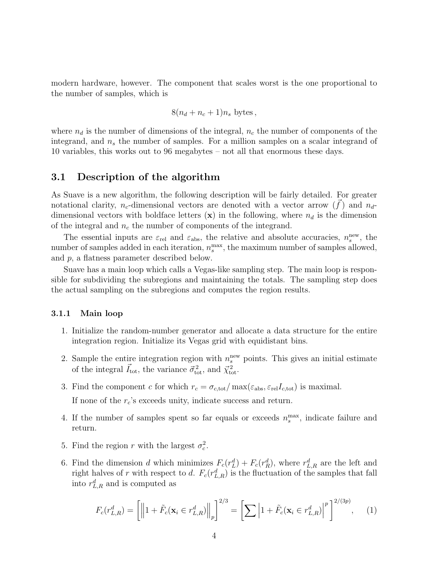modern hardware, however. The component that scales worst is the one proportional to the number of samples, which is

$$
8(n_d + n_c + 1)n_s
$$
 bytes,

where  $n_d$  is the number of dimensions of the integral,  $n_c$  the number of components of the integrand, and  $n_s$  the number of samples. For a million samples on a scalar integrand of 10 variables, this works out to 96 megabytes – not all that enormous these days.

### 3.1 Description of the algorithm

As Suave is a new algorithm, the following description will be fairly detailed. For greater notational clarity,  $n_c$ -dimensional vectors are denoted with a vector arrow  $(f)$  and  $n_d$ dimensional vectors with boldface letters  $(\mathbf{x})$  in the following, where  $n_d$  is the dimension of the integral and  $n_c$  the number of components of the integrand.

The essential inputs are  $\varepsilon_{rel}$  and  $\varepsilon_{abs}$ , the relative and absolute accuracies,  $n_s^{\text{new}}$ , the number of samples added in each iteration,  $n_s^{\text{max}}$ , the maximum number of samples allowed, and p, a flatness parameter described below.

Suave has a main loop which calls a Vegas-like sampling step. The main loop is responsible for subdividing the subregions and maintaining the totals. The sampling step does the actual sampling on the subregions and computes the region results.

#### <span id="page-3-1"></span>3.1.1 Main loop

- 1. Initialize the random-number generator and allocate a data structure for the entire integration region. Initialize its Vegas grid with equidistant bins.
- 2. Sample the entire integration region with  $n_s^{\text{new}}$  points. This gives an initial estimate of the integral  $\vec{I}_{\text{tot}}$ , the variance  $\vec{\sigma}_{\text{tot}}^2$ , and  $\vec{\chi}_{\text{tot}}^2$ .
- 3. Find the component c for which  $r_c = \sigma_{c,\text{tot}} / \max(\varepsilon_{\text{abs}}, \varepsilon_{\text{rel}} I_{c,\text{tot}})$  is maximal. If none of the  $r_c$ 's exceeds unity, indicate success and return.
- 4. If the number of samples spent so far equals or exceeds  $n_s^{\text{max}}$ , indicate failure and return.
- 5. Find the region r with the largest  $\sigma_c^2$ .
- 6. Find the dimension d which minimizes  $F_c(r_L^d) + F_c(r_R^d)$ , where  $r_{L,R}^d$  are the left and right halves of r with respect to d.  $F_c(r_{L,R}^d)$  is the fluctuation of the samples that fall into  $r_{L,R}^d$  and is computed as

<span id="page-3-0"></span>
$$
F_c(r_{L,R}^d) = \left[ \left\| 1 + \tilde{F}_c(\mathbf{x}_i \in r_{L,R}^d) \right\|_p \right]^{2/3} = \left[ \sum \left| 1 + \tilde{F}_c(\mathbf{x}_i \in r_{L,R}^d) \right|^p \right]^{2/(3p)}, \quad (1)
$$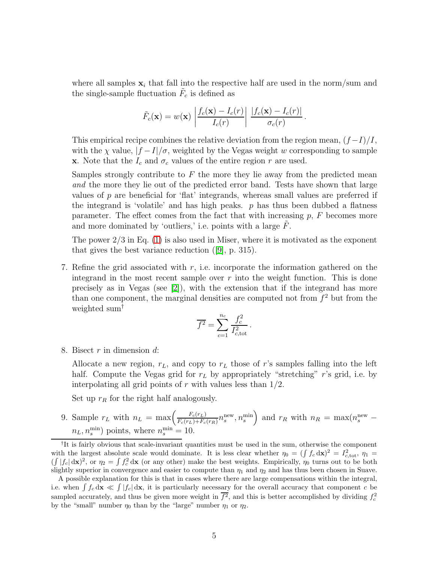where all samples  $x_i$  that fall into the respective half are used in the norm/sum and the single-sample fluctuation  $\tilde{F}_c$  is defined as

$$
\tilde{F}_c(\mathbf{x}) = w(\mathbf{x}) \left| \frac{f_c(\mathbf{x}) - I_c(r)}{I_c(r)} \right| \frac{|f_c(\mathbf{x}) - I_c(r)|}{\sigma_c(r)}.
$$

This empirical recipe combines the relative deviation from the region mean,  $(f-I)/I$ , with the  $\chi$  value,  $|f - I|/\sigma$ , weighted by the Vegas weight w corresponding to sample **x**. Note that the  $I_c$  and  $\sigma_c$  values of the entire region r are used.

Samples strongly contribute to  $F$  the more they lie away from the predicted mean and the more they lie out of the predicted error band. Tests have shown that large values of  $p$  are beneficial for 'flat' integrands, whereas small values are preferred if the integrand is 'volatile' and has high peaks.  $p$  has thus been dubbed a flatness parameter. The effect comes from the fact that with increasing  $p$ ,  $F$  becomes more and more dominated by 'outliers,' i.e. points with a large  $F$ .

The power  $2/3$  in Eq.  $(1)$  is also used in Miser, where it is motivated as the exponent that gives the best variance reduction ([\[9\]](#page-24-6), p. 315).

7. Refine the grid associated with  $r$ , i.e. incorporate the information gathered on the integrand in the most recent sample over  $r$  into the weight function. This is done precisely as in Vegas (see  $[2]$ ), with the extension that if the integrand has more than one component, the marginal densities are computed not from  $f^2$  but from the weighted sum†

$$
\overline{f^2} = \sum_{c=1}^{n_c} \frac{f_c^2}{I_{c,\text{tot}}^2}.
$$

8. Bisect  $r$  in dimension  $d$ :

Allocate a new region,  $r<sub>L</sub>$ , and copy to  $r<sub>L</sub>$  those of r's samples falling into the left half. Compute the Vegas grid for  $r<sub>L</sub>$  by appropriately "stretching" r's grid, i.e. by interpolating all grid points of r with values less than  $1/2$ .

Set up  $r_R$  for the right half analogously.

9. Sample  $r_L$  with  $n_L = \max\left(\frac{F_c(r_L)}{F_c(r_L)+F_c}\right)$  $\frac{F_c(r_L)}{F_c(r_L)+F_c(r_R)}n_s^{\text{new}}, n_s^{\text{min}}$  and  $r_R$  with  $n_R = \max(n_s^{\text{new}}$  $n_L, n_s^{\text{min}}$ ) points, where  $n_s^{\text{min}} = 10$ .

<sup>†</sup> It is fairly obvious that scale-invariant quantities must be used in the sum, otherwise the component with the largest absolute scale would dominate. It is less clear whether  $\eta_0 = (\int f_c dx)^2 = I_{c,\text{tot}}^2$ ,  $\eta_1 =$  $(\int |f_c| \, dx)^2$ , or  $\eta_2 = \int f_c^2 \, dx$  (or any other) make the best weights. Empirically,  $\eta_0$  turns out to be both slightly superior in convergence and easier to compute than  $\eta_1$  and  $\eta_2$  and has thus been chosen in Suave.

A possible explanation for this is that in cases where there are large compensations within the integral, i.e. when  $\int f_c d\mathbf{x} \ll \int |f_c| d\mathbf{x}$ , it is particularly necessary for the overall accuracy that component c be sampled accurately, and thus be given more weight in  $\overline{f^2}$ , and this is better accomplished by dividing  $f_c^2$ by the "small" number  $\eta_0$  than by the "large" number  $\eta_1$  or  $\eta_2$ .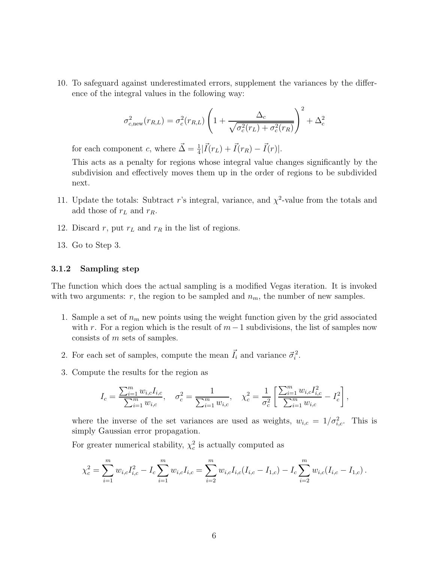10. To safeguard against underestimated errors, supplement the variances by the difference of the integral values in the following way:

$$
\sigma_{c,\text{new}}^2(r_{R,L}) = \sigma_c^2(r_{R,L}) \left( 1 + \frac{\Delta_c}{\sqrt{\sigma_c^2(r_L) + \sigma_c^2(r_R)}} \right)^2 + \Delta_c^2
$$

for each component c, where  $\vec{\Delta} = \frac{1}{4} |\vec{I}(r_L) + \vec{I}(r_R) - \vec{I}(r)|$ .

This acts as a penalty for regions whose integral value changes significantly by the subdivision and effectively moves them up in the order of regions to be subdivided next.

- 11. Update the totals: Subtract r's integral, variance, and  $\chi^2$ -value from the totals and add those of  $r_L$  and  $r_R$ .
- 12. Discard r, put  $r<sub>L</sub>$  and  $r<sub>R</sub>$  in the list of regions.
- 13. Go to Step 3.

#### 3.1.2 Sampling step

The function which does the actual sampling is a modified Vegas iteration. It is invoked with two arguments:  $r$ , the region to be sampled and  $n<sub>m</sub>$ , the number of new samples.

- 1. Sample a set of  $n_m$  new points using the weight function given by the grid associated with r. For a region which is the result of  $m-1$  subdivisions, the list of samples now consists of m sets of samples.
- 2. For each set of samples, compute the mean  $\vec{I}_i$  and variance  $\vec{\sigma}_i^2$ .
- 3. Compute the results for the region as

$$
I_c = \frac{\sum_{i=1}^m w_{i,c} I_{i,c}}{\sum_{i=1}^m w_{i,c}}, \quad \sigma_c^2 = \frac{1}{\sum_{i=1}^m w_{i,c}}, \quad \chi_c^2 = \frac{1}{\sigma_c^2} \left[ \frac{\sum_{i=1}^m w_{i,c} I_{i,c}^2}{\sum_{i=1}^m w_{i,c}} - I_c^2 \right],
$$

where the inverse of the set variances are used as weights,  $w_{i,c} = 1/\sigma_{i,c}^2$ . This is simply Gaussian error propagation.

For greater numerical stability,  $\chi_c^2$  is actually computed as

$$
\chi_c^2 = \sum_{i=1}^m w_{i,c} I_{i,c}^2 - I_c \sum_{i=1}^m w_{i,c} I_{i,c} = \sum_{i=2}^m w_{i,c} I_{i,c} (I_{i,c} - I_{1,c}) - I_c \sum_{i=2}^m w_{i,c} (I_{i,c} - I_{1,c}).
$$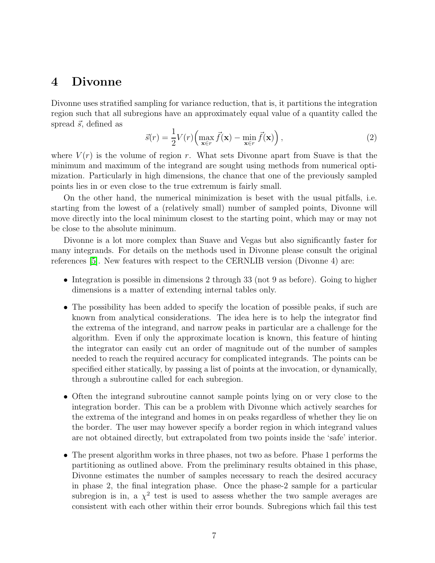## 4 Divonne

Divonne uses stratified sampling for variance reduction, that is, it partitions the integration region such that all subregions have an approximately equal value of a quantity called the spread  $\vec{s}$ , defined as

$$
\vec{s}(r) = \frac{1}{2}V(r)\left(\max_{\mathbf{x}\in r}\vec{f}(\mathbf{x}) - \min_{\mathbf{x}\in r}\vec{f}(\mathbf{x})\right),\tag{2}
$$

where  $V(r)$  is the volume of region r. What sets Divonne apart from Suave is that the minimum and maximum of the integrand are sought using methods from numerical optimization. Particularly in high dimensions, the chance that one of the previously sampled points lies in or even close to the true extremum is fairly small.

On the other hand, the numerical minimization is beset with the usual pitfalls, i.e. starting from the lowest of a (relatively small) number of sampled points, Divonne will move directly into the local minimum closest to the starting point, which may or may not be close to the absolute minimum.

Divonne is a lot more complex than Suave and Vegas but also significantly faster for many integrands. For details on the methods used in Divonne please consult the original references [\[5\]](#page-24-2). New features with respect to the CERNLIB version (Divonne 4) are:

- Integration is possible in dimensions 2 through 33 (not 9 as before). Going to higher dimensions is a matter of extending internal tables only.
- The possibility has been added to specify the location of possible peaks, if such are known from analytical considerations. The idea here is to help the integrator find the extrema of the integrand, and narrow peaks in particular are a challenge for the algorithm. Even if only the approximate location is known, this feature of hinting the integrator can easily cut an order of magnitude out of the number of samples needed to reach the required accuracy for complicated integrands. The points can be specified either statically, by passing a list of points at the invocation, or dynamically, through a subroutine called for each subregion.
- Often the integrand subroutine cannot sample points lying on or very close to the integration border. This can be a problem with Divonne which actively searches for the extrema of the integrand and homes in on peaks regardless of whether they lie on the border. The user may however specify a border region in which integrand values are not obtained directly, but extrapolated from two points inside the 'safe' interior.
- The present algorithm works in three phases, not two as before. Phase 1 performs the partitioning as outlined above. From the preliminary results obtained in this phase, Divonne estimates the number of samples necessary to reach the desired accuracy in phase 2, the final integration phase. Once the phase-2 sample for a particular subregion is in, a  $\chi^2$  test is used to assess whether the two sample averages are consistent with each other within their error bounds. Subregions which fail this test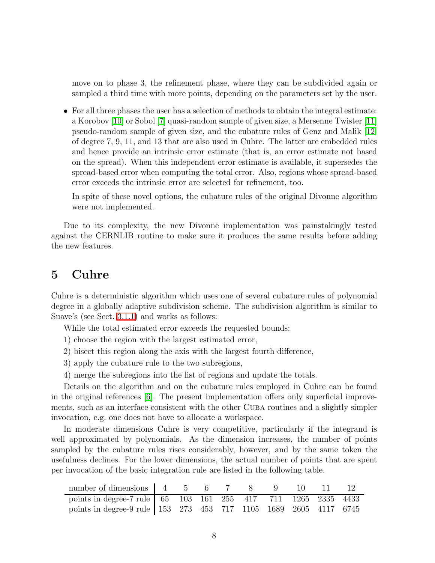move on to phase 3, the refinement phase, where they can be subdivided again or sampled a third time with more points, depending on the parameters set by the user.

• For all three phases the user has a selection of methods to obtain the integral estimate: a Korobov [\[10\]](#page-24-7) or Sobol [\[7\]](#page-24-4) quasi-random sample of given size, a Mersenne Twister [\[11\]](#page-24-8) pseudo-random sample of given size, and the cubature rules of Genz and Malik [\[12\]](#page-24-9) of degree 7, 9, 11, and 13 that are also used in Cuhre. The latter are embedded rules and hence provide an intrinsic error estimate (that is, an error estimate not based on the spread). When this independent error estimate is available, it supersedes the spread-based error when computing the total error. Also, regions whose spread-based error exceeds the intrinsic error are selected for refinement, too.

In spite of these novel options, the cubature rules of the original Divonne algorithm were not implemented.

Due to its complexity, the new Divonne implementation was painstakingly tested against the CERNLIB routine to make sure it produces the same results before adding the new features.

# 5 Cuhre

Cuhre is a deterministic algorithm which uses one of several cubature rules of polynomial degree in a globally adaptive subdivision scheme. The subdivision algorithm is similar to Suave's (see Sect. [3.1.1\)](#page-3-1) and works as follows:

While the total estimated error exceeds the requested bounds:

- 1) choose the region with the largest estimated error,
- 2) bisect this region along the axis with the largest fourth difference,
- 3) apply the cubature rule to the two subregions,
- 4) merge the subregions into the list of regions and update the totals.

Details on the algorithm and on the cubature rules employed in Cuhre can be found in the original references [\[6\]](#page-24-3). The present implementation offers only superficial improvements, such as an interface consistent with the other Cuba routines and a slightly simpler invocation, e.g. one does not have to allocate a workspace.

In moderate dimensions Cuhre is very competitive, particularly if the integrand is well approximated by polynomials. As the dimension increases, the number of points sampled by the cubature rules rises considerably, however, and by the same token the usefulness declines. For the lower dimensions, the actual number of points that are spent per invocation of the basic integration rule are listed in the following table.

| number of dimensions 4 5 6                                         |  |  | $8^{\circ}$ 9 | $-10$ $-11$ |  |
|--------------------------------------------------------------------|--|--|---------------|-------------|--|
| points in degree-7 rule   65 103 161 255 417 711 1265 2335 4433    |  |  |               |             |  |
| points in degree-9 rule   153 273 453 717 1105 1689 2605 4117 6745 |  |  |               |             |  |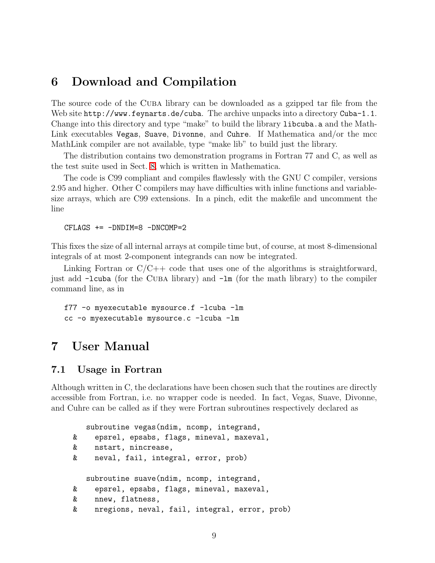# 6 Download and Compilation

The source code of the Cuba library can be downloaded as a gzipped tar file from the Web site http://www.feynarts.de/cuba. The archive unpacks into a directory Cuba-1.1. Change into this directory and type "make" to build the library libcuba.a and the Math-Link executables Vegas, Suave, Divonne, and Cuhre. If Mathematica and/or the mcc MathLink compiler are not available, type "make lib" to build just the library.

The distribution contains two demonstration programs in Fortran 77 and C, as well as the test suite used in Sect. [8,](#page-20-0) which is written in Mathematica.

The code is C99 compliant and compiles flawlessly with the GNU C compiler, versions 2.95 and higher. Other C compilers may have difficulties with inline functions and variablesize arrays, which are C99 extensions. In a pinch, edit the makefile and uncomment the line

 $CFLAGS += -DNDIM=8 -DNCOMP=2$ 

This fixes the size of all internal arrays at compile time but, of course, at most 8-dimensional integrals of at most 2-component integrands can now be integrated.

Linking Fortran or  $C/C++$  code that uses one of the algorithms is straightforward, just add -lcuba (for the Cuba library) and -lm (for the math library) to the compiler command line, as in

```
f77 -o myexecutable mysource.f -lcuba -lm
cc -o myexecutable mysource.c -lcuba -lm
```
# 7 User Manual

### 7.1 Usage in Fortran

Although written in C, the declarations have been chosen such that the routines are directly accessible from Fortran, i.e. no wrapper code is needed. In fact, Vegas, Suave, Divonne, and Cuhre can be called as if they were Fortran subroutines respectively declared as

```
subroutine vegas(ndim, ncomp, integrand,
& epsrel, epsabs, flags, mineval, maxeval,
& nstart, nincrease,
& neval, fail, integral, error, prob)
  subroutine suave(ndim, ncomp, integrand,
& epsrel, epsabs, flags, mineval, maxeval,
& nnew, flatness,
& nregions, neval, fail, integral, error, prob)
```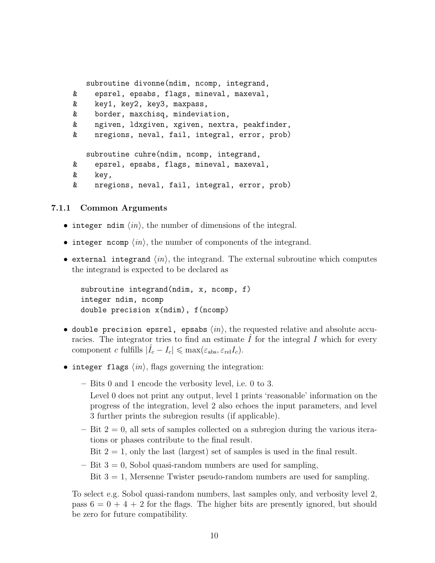```
subroutine divonne(ndim, ncomp, integrand,
& epsrel, epsabs, flags, mineval, maxeval,
& key1, key2, key3, maxpass,
& border, maxchisq, mindeviation,
& ngiven, ldxgiven, xgiven, nextra, peakfinder,
& nregions, neval, fail, integral, error, prob)
  subroutine cuhre(ndim, ncomp, integrand,
& epsrel, epsabs, flags, mineval, maxeval,
& key,
& nregions, neval, fail, integral, error, prob)
```
#### 7.1.1 Common Arguments

- integer ndim  $\langle in \rangle$ , the number of dimensions of the integral.
- integer ncomp  $\langle in \rangle$ , the number of components of the integrand.
- external integrand  $\langle in \rangle$ , the integrand. The external subroutine which computes the integrand is expected to be declared as

```
subroutine integrand(ndim, x, ncomp, f)
integer ndim, ncomp
double precision x(ndim), f(ncomp)
```
- double precision epsrel, epsabs  $\langle in \rangle$ , the requested relative and absolute accuracies. The integrator tries to find an estimate  $\tilde{I}$  for the integral  $I$  which for every component c fulfills  $|\hat{I}_c - I_c| \le \max(\varepsilon_{\text{abs}}, \varepsilon_{\text{rel}} I_c)$ .
- integer flags  $\langle in \rangle$ , flags governing the integration:
	- Bits 0 and 1 encode the verbosity level, i.e. 0 to 3. Level 0 does not print any output, level 1 prints 'reasonable' information on the
		- progress of the integration, level 2 also echoes the input parameters, and level 3 further prints the subregion results (if applicable).
	- $-$  Bit  $2 = 0$ , all sets of samples collected on a subregion during the various iterations or phases contribute to the final result.
		- Bit  $2 = 1$ , only the last (largest) set of samples is used in the final result.
	- $-$  Bit  $3 = 0$ , Sobol quasi-random numbers are used for sampling,

Bit  $3 = 1$ , Mersenne Twister pseudo-random numbers are used for sampling.

To select e.g. Sobol quasi-random numbers, last samples only, and verbosity level 2, pass  $6 = 0 + 4 + 2$  for the flags. The higher bits are presently ignored, but should be zero for future compatibility.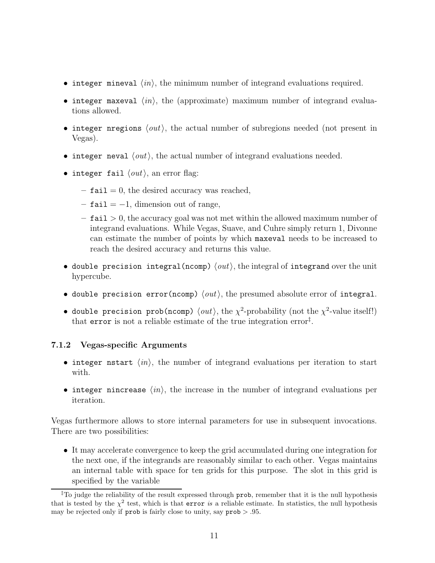- integer mineval  $\langle in \rangle$ , the minimum number of integrand evaluations required.
- integer maxeval  $\langle in \rangle$ , the (approximate) maximum number of integrand evaluations allowed.
- integer nregions  $\langle out \rangle$ , the actual number of subregions needed (not present in Vegas).
- integer neval  $\langle out \rangle$ , the actual number of integrand evaluations needed.
- integer fail  $\langle out \rangle$ , an error flag:
	- $-$  fail = 0, the desired accuracy was reached,
	- $-$  fail  $=-1$ , dimension out of range,
	- $-$  fail  $> 0$ , the accuracy goal was not met within the allowed maximum number of integrand evaluations. While Vegas, Suave, and Cuhre simply return 1, Divonne can estimate the number of points by which maxeval needs to be increased to reach the desired accuracy and returns this value.
- double precision integral(ncomp)  $\langle out \rangle$ , the integral of integrand over the unit hypercube.
- double precision error(ncomp)  $\langle out \rangle$ , the presumed absolute error of integral.
- double precision prob(ncomp)  $\langle out \rangle$ , the  $\chi^2$ -probability (not the  $\chi^2$ -value itself!) that error is not a reliable estimate of the true integration error‡ .

#### <span id="page-10-0"></span>7.1.2 Vegas-specific Arguments

- integer nstart  $\langle in \rangle$ , the number of integrand evaluations per iteration to start with.
- integer nincrease  $\langle in \rangle$ , the increase in the number of integrand evaluations per iteration.

Vegas furthermore allows to store internal parameters for use in subsequent invocations. There are two possibilities:

• It may accelerate convergence to keep the grid accumulated during one integration for the next one, if the integrands are reasonably similar to each other. Vegas maintains an internal table with space for ten grids for this purpose. The slot in this grid is specified by the variable

<sup>&</sup>lt;sup>‡</sup>To judge the reliability of the result expressed through  $\text{prob}$ , remember that it is the null hypothesis that is tested by the  $\chi^2$  test, which is that error is a reliable estimate. In statistics, the null hypothesis may be rejected only if  $prob$  is fairly close to unity, say  $prob$  > .95.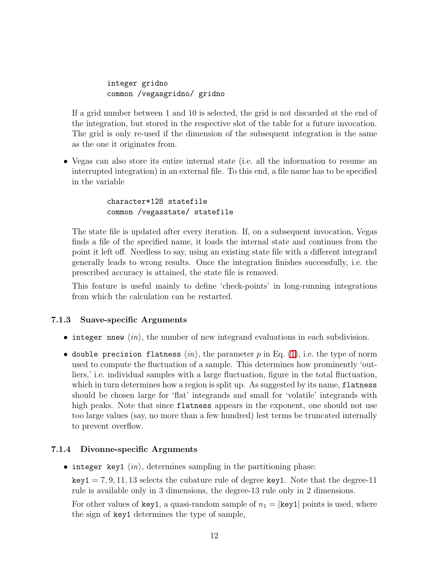```
integer gridno
common /vegasgridno/ gridno
```
If a grid number between 1 and 10 is selected, the grid is not discarded at the end of the integration, but stored in the respective slot of the table for a future invocation. The grid is only re-used if the dimension of the subsequent integration is the same as the one it originates from.

• Vegas can also store its entire internal state (i.e. all the information to resume an interrupted integration) in an external file. To this end, a file name has to be specified in the variable

> character\*128 statefile common /vegasstate/ statefile

The state file is updated after every iteration. If, on a subsequent invocation, Vegas finds a file of the specified name, it loads the internal state and continues from the point it left off. Needless to say, using an existing state file with a different integrand generally leads to wrong results. Once the integration finishes successfully, i.e. the prescribed accuracy is attained, the state file is removed.

This feature is useful mainly to define 'check-points' in long-running integrations from which the calculation can be restarted.

### 7.1.3 Suave-specific Arguments

- integer nnew  $\langle in \rangle$ , the number of new integrand evaluations in each subdivision.
- double precision flatness  $\langle in \rangle$ , the parameter p in Eq. [\(1\)](#page-3-0), i.e. the type of norm used to compute the fluctuation of a sample. This determines how prominently 'outliers,' i.e. individual samples with a large fluctuation, figure in the total fluctuation, which in turn determines how a region is split up. As suggested by its name, flatness should be chosen large for 'flat' integrands and small for 'volatile' integrands with high peaks. Note that since flatness appears in the exponent, one should not use too large values (say, no more than a few hundred) lest terms be truncated internally to prevent overflow.

### <span id="page-11-0"></span>7.1.4 Divonne-specific Arguments

• integer key1  $\langle in \rangle$ , determines sampling in the partitioning phase:

 $key1 = 7, 9, 11, 13$  selects the cubature rule of degree key1. Note that the degree-11 rule is available only in 3 dimensions, the degree-13 rule only in 2 dimensions.

For other values of key1, a quasi-random sample of  $n_1 = |\text{key1}|$  points is used, where the sign of key1 determines the type of sample,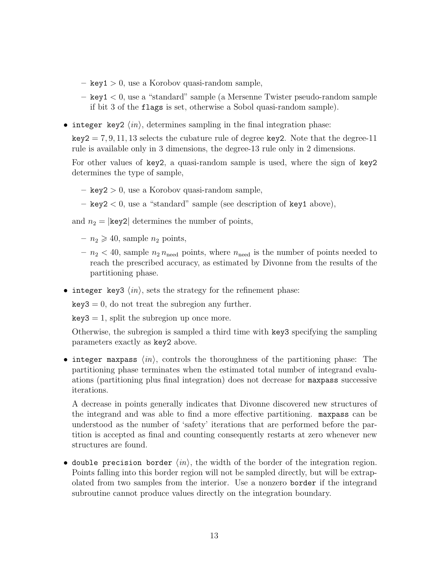- $-$  key $1 > 0$ , use a Korobov quasi-random sample,
- key1 < 0, use a "standard" sample (a Mersenne Twister pseudo-random sample if bit 3 of the flags is set, otherwise a Sobol quasi-random sample).
- integer key2  $\langle in \rangle$ , determines sampling in the final integration phase:

 $key2 = 7, 9, 11, 13$  selects the cubature rule of degree key2. Note that the degree-11 rule is available only in 3 dimensions, the degree-13 rule only in 2 dimensions.

For other values of key2, a quasi-random sample is used, where the sign of key2 determines the type of sample,

- $-$  key2  $> 0$ , use a Korobov quasi-random sample,
- $-$  key2  $<$  0, use a "standard" sample (see description of key1 above),

and  $n_2 = |\text{key2}|$  determines the number of points,

- $n_2 \geqslant 40$ , sample  $n_2$  points,
- $n_2 < 40$ , sample  $n_2 n_{\text{need}}$  points, where  $n_{\text{need}}$  is the number of points needed to reach the prescribed accuracy, as estimated by Divonne from the results of the partitioning phase.
- integer key3  $\langle in \rangle$ , sets the strategy for the refinement phase:

 $key3 = 0$ , do not treat the subregion any further.

 $key3 = 1$ , split the subregion up once more.

Otherwise, the subregion is sampled a third time with key3 specifying the sampling parameters exactly as key2 above.

• integer maxpass  $\langle in \rangle$ , controls the thoroughness of the partitioning phase: The partitioning phase terminates when the estimated total number of integrand evaluations (partitioning plus final integration) does not decrease for maxpass successive iterations.

A decrease in points generally indicates that Divonne discovered new structures of the integrand and was able to find a more effective partitioning. maxpass can be understood as the number of 'safety' iterations that are performed before the partition is accepted as final and counting consequently restarts at zero whenever new structures are found.

• double precision border  $\langle in \rangle$ , the width of the border of the integration region. Points falling into this border region will not be sampled directly, but will be extrapolated from two samples from the interior. Use a nonzero border if the integrand subroutine cannot produce values directly on the integration boundary.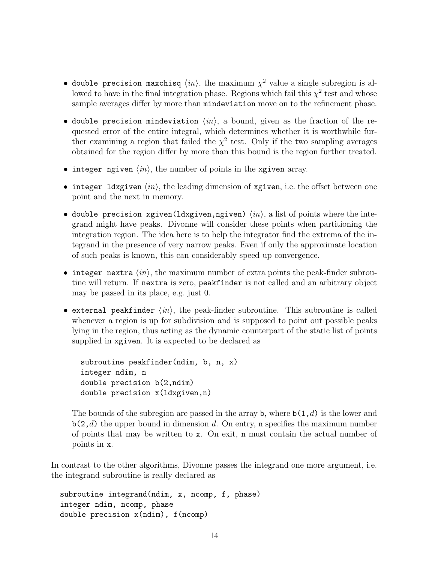- double precision maxchisq  $\langle in \rangle$ , the maximum  $\chi^2$  value a single subregion is allowed to have in the final integration phase. Regions which fail this  $\chi^2$  test and whose sample averages differ by more than mindeviation move on to the refinement phase.
- double precision mindeviation  $\langle in \rangle$ , a bound, given as the fraction of the requested error of the entire integral, which determines whether it is worthwhile further examining a region that failed the  $\chi^2$  test. Only if the two sampling averages obtained for the region differ by more than this bound is the region further treated.
- integer ngiven  $\langle in \rangle$ , the number of points in the xgiven array.
- integer 1 dxgiven  $\langle in \rangle$ , the leading dimension of xgiven, i.e. the offset between one point and the next in memory.
- double precision xgiven(ldxgiven,ngiven)  $\langle in \rangle$ , a list of points where the integrand might have peaks. Divonne will consider these points when partitioning the integration region. The idea here is to help the integrator find the extrema of the integrand in the presence of very narrow peaks. Even if only the approximate location of such peaks is known, this can considerably speed up convergence.
- integer nextra  $\langle in \rangle$ , the maximum number of extra points the peak-finder subroutine will return. If nextra is zero, peakfinder is not called and an arbitrary object may be passed in its place, e.g. just 0.
- external peakfinder  $\langle in \rangle$ , the peak-finder subroutine. This subroutine is called whenever a region is up for subdivision and is supposed to point out possible peaks lying in the region, thus acting as the dynamic counterpart of the static list of points supplied in xgiven. It is expected to be declared as

```
subroutine peakfinder(ndim, b, n, x)
integer ndim, n
double precision b(2,ndim)
double precision x(ldxgiven,n)
```
The bounds of the subregion are passed in the array b, where  $b(1,d)$  is the lower and  $b(2,d)$  the upper bound in dimension d. On entry, **n** specifies the maximum number of points that may be written to x. On exit, n must contain the actual number of points in x.

In contrast to the other algorithms, Divonne passes the integrand one more argument, i.e. the integrand subroutine is really declared as

```
subroutine integrand(ndim, x, ncomp, f, phase)
integer ndim, ncomp, phase
double precision x(ndim), f(ncomp)
```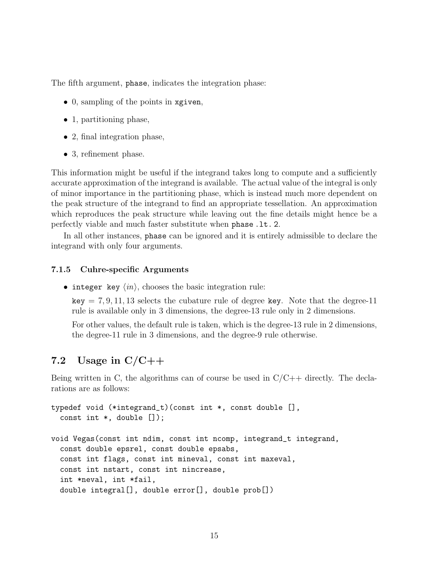The fifth argument, phase, indicates the integration phase:

- 0, sampling of the points in xgiven,
- 1, partitioning phase,
- 2, final integration phase,
- 3, refinement phase.

This information might be useful if the integrand takes long to compute and a sufficiently accurate approximation of the integrand is available. The actual value of the integral is only of minor importance in the partitioning phase, which is instead much more dependent on the peak structure of the integrand to find an appropriate tessellation. An approximation which reproduces the peak structure while leaving out the fine details might hence be a perfectly viable and much faster substitute when phase .lt. 2.

In all other instances, phase can be ignored and it is entirely admissible to declare the integrand with only four arguments.

#### 7.1.5 Cuhre-specific Arguments

• integer key  $\langle in \rangle$ , chooses the basic integration rule:

 $key = 7, 9, 11, 13$  selects the cubature rule of degree key. Note that the degree-11 rule is available only in 3 dimensions, the degree-13 rule only in 2 dimensions.

For other values, the default rule is taken, which is the degree-13 rule in 2 dimensions, the degree-11 rule in 3 dimensions, and the degree-9 rule otherwise.

### 7.2 Usage in  $C/C++$

Being written in C, the algorithms can of course be used in  $C/C++$  directly. The declarations are as follows:

```
typedef void (*integrand_t)(const int *, const double [],
  const int *, double []);
```

```
void Vegas(const int ndim, const int ncomp, integrand_t integrand,
 const double epsrel, const double epsabs,
  const int flags, const int mineval, const int maxeval,
 const int nstart, const int nincrease,
  int *neval, int *fail,
 double integral[], double error[], double prob[])
```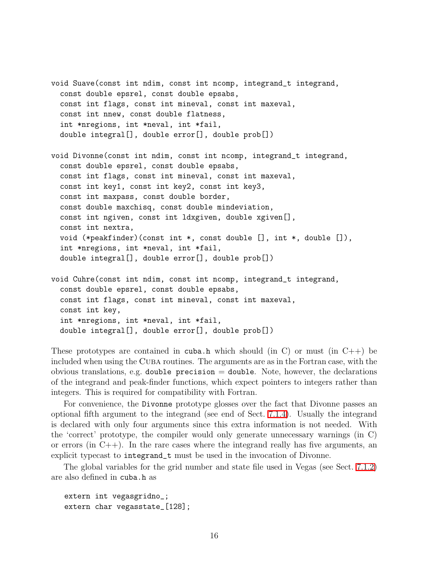```
void Suave(const int ndim, const int ncomp, integrand_t integrand,
 const double epsrel, const double epsabs,
 const int flags, const int mineval, const int maxeval,
 const int nnew, const double flatness,
 int *nregions, int *neval, int *fail,
 double integral[], double error[], double prob[])
void Divonne(const int ndim, const int ncomp, integrand_t integrand,
 const double epsrel, const double epsabs,
 const int flags, const int mineval, const int maxeval,
 const int key1, const int key2, const int key3,
 const int maxpass, const double border,
 const double maxchisq, const double mindeviation,
 const int ngiven, const int ldxgiven, double xgiven[],
 const int nextra,
 void (*peakfinder)(const int *, const double [], int *, double []),
 int *nregions, int *neval, int *fail,
 double integral[], double error[], double prob[])
void Cuhre(const int ndim, const int ncomp, integrand_t integrand,
 const double epsrel, const double epsabs,
 const int flags, const int mineval, const int maxeval,
 const int key,
 int *nregions, int *neval, int *fail,
```
double integral[], double error[], double prob[])

These prototypes are contained in cuba.h which should (in C) or must (in  $C++$ ) be included when using the Cuba routines. The arguments are as in the Fortran case, with the obvious translations, e.g. double precision  $=$  double. Note, however, the declarations of the integrand and peak-finder functions, which expect pointers to integers rather than integers. This is required for compatibility with Fortran.

For convenience, the Divonne prototype glosses over the fact that Divonne passes an optional fifth argument to the integrand (see end of Sect. [7.1.4\)](#page-11-0). Usually the integrand is declared with only four arguments since this extra information is not needed. With the 'correct' prototype, the compiler would only generate unnecessary warnings (in C) or errors (in  $C_{++}$ ). In the rare cases where the integrand really has five arguments, an explicit typecast to integrand\_t must be used in the invocation of Divonne.

The global variables for the grid number and state file used in Vegas (see Sect. [7.1.2\)](#page-10-0) are also defined in cuba.h as

extern int vegasgridno\_; extern char vegasstate\_[128];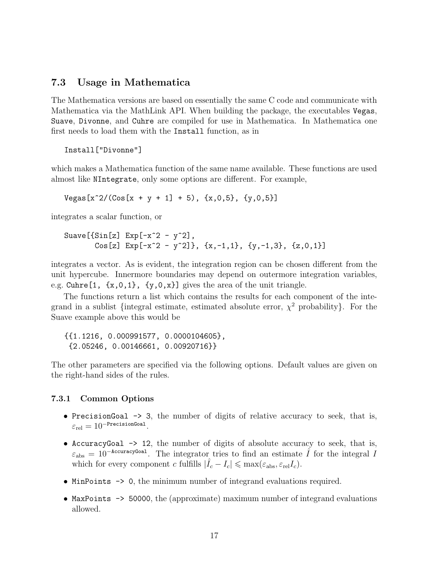### 7.3 Usage in Mathematica

The Mathematica versions are based on essentially the same C code and communicate with Mathematica via the MathLink API. When building the package, the executables Vegas, Suave, Divonne, and Cuhre are compiled for use in Mathematica. In Mathematica one first needs to load them with the Install function, as in

Install["Divonne"]

which makes a Mathematica function of the same name available. These functions are used almost like NIntegrate, only some options are different. For example,

```
Vegas[x^2/(Cos[x + y + 1] + 5), {x,0,5}, {y,0,5}]
```
integrates a scalar function, or

```
Suave[\text{Sin}[z] Exp[-x^2 - y^2],
        Cos[z] Exp[-x^2 - y^2]}, \{x,-1,1\}, \{y,-1,3\}, \{z,0,1\}]
```
integrates a vector. As is evident, the integration region can be chosen different from the unit hypercube. Innermore boundaries may depend on outermore integration variables, e.g. Cuhre $[1, \{x, 0, 1\}, \{y, 0, x\}]$  gives the area of the unit triangle.

The functions return a list which contains the results for each component of the integrand in a sublist {integral estimate, estimated absolute error,  $\chi^2$  probability}. For the Suave example above this would be

{{1.1216, 0.000991577, 0.0000104605}, {2.05246, 0.00146661, 0.00920716}}

The other parameters are specified via the following options. Default values are given on the right-hand sides of the rules.

#### 7.3.1 Common Options

- PrecisionGoal  $\rightarrow$  3, the number of digits of relative accuracy to seek, that is,  $\varepsilon_{\rm rel} = 10^{-\texttt{PrecisionGoal}}$  .
- AccuracyGoal  $\rightarrow$  12, the number of digits of absolute accuracy to seek, that is,  $\varepsilon_{\text{abs}} = 10^{-\text{AccuracyGoal}}$ . The integrator tries to find an estimate  $\hat{I}$  for the integral I which for every component c fulfills  $|\hat{I}_c - I_c| \leq \max(\varepsilon_{\text{abs}}, \varepsilon_{\text{rel}} I_c)$ .
- MinPoints  $\rightarrow$  0, the minimum number of integrand evaluations required.
- MaxPoints  $\rightarrow$  50000, the (approximate) maximum number of integrand evaluations allowed.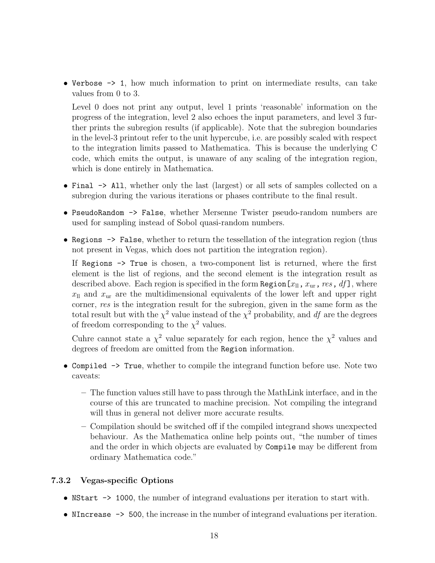• Verbose  $\rightarrow$  1, how much information to print on intermediate results, can take values from 0 to 3.

Level 0 does not print any output, level 1 prints 'reasonable' information on the progress of the integration, level 2 also echoes the input parameters, and level 3 further prints the subregion results (if applicable). Note that the subregion boundaries in the level-3 printout refer to the unit hypercube, i.e. are possibly scaled with respect to the integration limits passed to Mathematica. This is because the underlying C code, which emits the output, is unaware of any scaling of the integration region, which is done entirely in Mathematica.

- Final  $\rightarrow$  All, whether only the last (largest) or all sets of samples collected on a subregion during the various iterations or phases contribute to the final result.
- PseudoRandom  $\rightarrow$  False, whether Mersenne Twister pseudo-random numbers are used for sampling instead of Sobol quasi-random numbers.
- Regions  $\rightarrow$  False, whether to return the tessellation of the integration region (thus not present in Vegas, which does not partition the integration region).

If Regions -> True is chosen, a two-component list is returned, where the first element is the list of regions, and the second element is the integration result as described above. Each region is specified in the form Region  $[x_{ll}, x_{ur}, res, df]$ , where  $x_{\text{ll}}$  and  $x_{\text{ur}}$  are the multidimensional equivalents of the lower left and upper right corner, res is the integration result for the subregion, given in the same form as the total result but with the  $\chi^2$  value instead of the  $\chi^2$  probability, and df are the degrees of freedom corresponding to the  $\chi^2$  values.

Cuhre cannot state a  $\chi^2$  value separately for each region, hence the  $\chi^2$  values and degrees of freedom are omitted from the Region information.

- Compiled  $\rightarrow$  True, whether to compile the integrand function before use. Note two caveats:
	- The function values still have to pass through the MathLink interface, and in the course of this are truncated to machine precision. Not compiling the integrand will thus in general not deliver more accurate results.
	- Compilation should be switched off if the compiled integrand shows unexpected behaviour. As the Mathematica online help points out, "the number of times and the order in which objects are evaluated by Compile may be different from ordinary Mathematica code."

### 7.3.2 Vegas-specific Options

- NStart  $\rightarrow$  1000, the number of integrand evaluations per iteration to start with.
- NIncrease  $\rightarrow$  500, the increase in the number of integrand evaluations per iteration.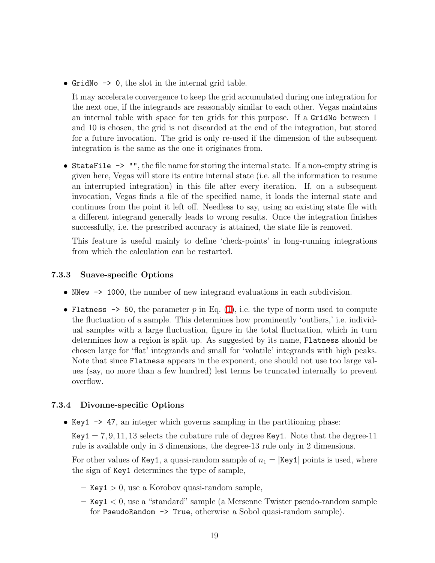• GridNo  $\rightarrow$  0, the slot in the internal grid table.

It may accelerate convergence to keep the grid accumulated during one integration for the next one, if the integrands are reasonably similar to each other. Vegas maintains an internal table with space for ten grids for this purpose. If a GridNo between 1 and 10 is chosen, the grid is not discarded at the end of the integration, but stored for a future invocation. The grid is only re-used if the dimension of the subsequent integration is the same as the one it originates from.

• StateFile  $\rightarrow$  "", the file name for storing the internal state. If a non-empty string is given here, Vegas will store its entire internal state (i.e. all the information to resume an interrupted integration) in this file after every iteration. If, on a subsequent invocation, Vegas finds a file of the specified name, it loads the internal state and continues from the point it left off. Needless to say, using an existing state file with a different integrand generally leads to wrong results. Once the integration finishes successfully, i.e. the prescribed accuracy is attained, the state file is removed.

This feature is useful mainly to define 'check-points' in long-running integrations from which the calculation can be restarted.

### 7.3.3 Suave-specific Options

- NNew  $\rightarrow$  1000, the number of new integrand evaluations in each subdivision.
- Flatness  $\rightarrow$  50, the parameter p in Eq. [\(1\)](#page-3-0), i.e. the type of norm used to compute the fluctuation of a sample. This determines how prominently 'outliers,' i.e. individual samples with a large fluctuation, figure in the total fluctuation, which in turn determines how a region is split up. As suggested by its name, Flatness should be chosen large for 'flat' integrands and small for 'volatile' integrands with high peaks. Note that since Flatness appears in the exponent, one should not use too large values (say, no more than a few hundred) lest terms be truncated internally to prevent overflow.

### 7.3.4 Divonne-specific Options

• Key1  $\rightarrow$  47, an integer which governs sampling in the partitioning phase:

 $Key1 = 7, 9, 11, 13$  selects the cubature rule of degree Key1. Note that the degree-11 rule is available only in 3 dimensions, the degree-13 rule only in 2 dimensions.

For other values of Key1, a quasi-random sample of  $n_1 = |$ Key1| points is used, where the sign of Key1 determines the type of sample,

- $-$  Key $1 > 0$ , use a Korobov quasi-random sample,
- Key1 < 0, use a "standard" sample (a Mersenne Twister pseudo-random sample for PseudoRandom -> True, otherwise a Sobol quasi-random sample).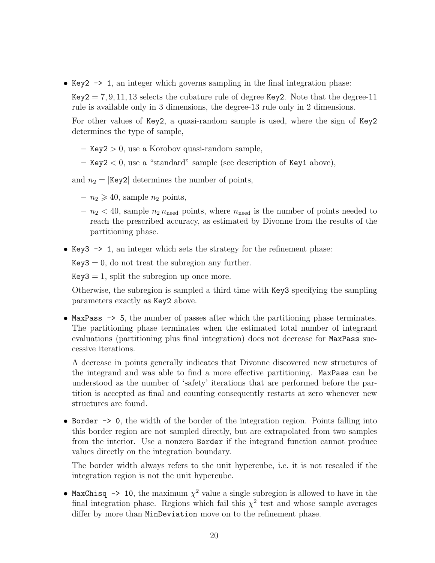• Key2  $\rightarrow$  1, an integer which governs sampling in the final integration phase:

 $Key2 = 7, 9, 11, 13$  selects the cubature rule of degree Key2. Note that the degree-11 rule is available only in 3 dimensions, the degree-13 rule only in 2 dimensions.

For other values of Key2, a quasi-random sample is used, where the sign of Key2 determines the type of sample,

- $-$  Key2  $> 0$ , use a Korobov quasi-random sample,
- $-$  Key2  $<$  0, use a "standard" sample (see description of Key1 above),

and  $n_2 = |Key2|$  determines the number of points,

- $n_2 \geqslant 40$ , sample  $n_2$  points,
- $n_2 < 40$ , sample  $n_2 n_{\text{need}}$  points, where  $n_{\text{need}}$  is the number of points needed to reach the prescribed accuracy, as estimated by Divonne from the results of the partitioning phase.
- Key3  $\rightarrow$  1, an integer which sets the strategy for the refinement phase:

 $Key3 = 0$ , do not treat the subregion any further.

 $Key3 = 1$ , split the subregion up once more.

Otherwise, the subregion is sampled a third time with Key3 specifying the sampling parameters exactly as Key2 above.

• MaxPass  $\rightarrow$  5, the number of passes after which the partitioning phase terminates. The partitioning phase terminates when the estimated total number of integrand evaluations (partitioning plus final integration) does not decrease for MaxPass successive iterations.

A decrease in points generally indicates that Divonne discovered new structures of the integrand and was able to find a more effective partitioning. MaxPass can be understood as the number of 'safety' iterations that are performed before the partition is accepted as final and counting consequently restarts at zero whenever new structures are found.

• Border  $\rightarrow$  0, the width of the border of the integration region. Points falling into this border region are not sampled directly, but are extrapolated from two samples from the interior. Use a nonzero Border if the integrand function cannot produce values directly on the integration boundary.

The border width always refers to the unit hypercube, i.e. it is not rescaled if the integration region is not the unit hypercube.

• MaxChisq  $\rightarrow$  10, the maximum  $\chi^2$  value a single subregion is allowed to have in the final integration phase. Regions which fail this  $\chi^2$  test and whose sample averages differ by more than MinDeviation move on to the refinement phase.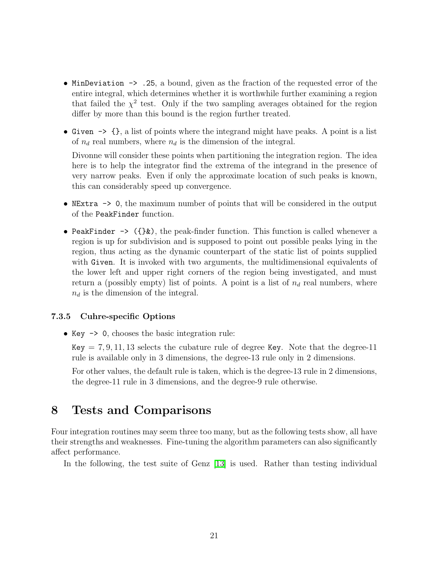- MinDeviation  $\rightarrow$  .25, a bound, given as the fraction of the requested error of the entire integral, which determines whether it is worthwhile further examining a region that failed the  $\chi^2$  test. Only if the two sampling averages obtained for the region differ by more than this bound is the region further treated.
- Given  $\rightarrow \{ \}$ , a list of points where the integrand might have peaks. A point is a list of  $n_d$  real numbers, where  $n_d$  is the dimension of the integral.

Divonne will consider these points when partitioning the integration region. The idea here is to help the integrator find the extrema of the integrand in the presence of very narrow peaks. Even if only the approximate location of such peaks is known, this can considerably speed up convergence.

- NExtra  $\rightarrow$  0, the maximum number of points that will be considered in the output of the PeakFinder function.
- PeakFinder  $\rightarrow$  ({ $\}$ &), the peak-finder function. This function is called whenever a region is up for subdivision and is supposed to point out possible peaks lying in the region, thus acting as the dynamic counterpart of the static list of points supplied with Given. It is invoked with two arguments, the multidimensional equivalents of the lower left and upper right corners of the region being investigated, and must return a (possibly empty) list of points. A point is a list of  $n_d$  real numbers, where  $n_d$  is the dimension of the integral.

#### 7.3.5 Cuhre-specific Options

• Key  $\rightarrow$  0, chooses the basic integration rule:

Key  $= 7, 9, 11, 13$  selects the cubature rule of degree Key. Note that the degree-11 rule is available only in 3 dimensions, the degree-13 rule only in 2 dimensions.

For other values, the default rule is taken, which is the degree-13 rule in 2 dimensions, the degree-11 rule in 3 dimensions, and the degree-9 rule otherwise.

# <span id="page-20-0"></span>8 Tests and Comparisons

Four integration routines may seem three too many, but as the following tests show, all have their strengths and weaknesses. Fine-tuning the algorithm parameters can also significantly affect performance.

In the following, the test suite of Genz [\[13\]](#page-24-10) is used. Rather than testing individual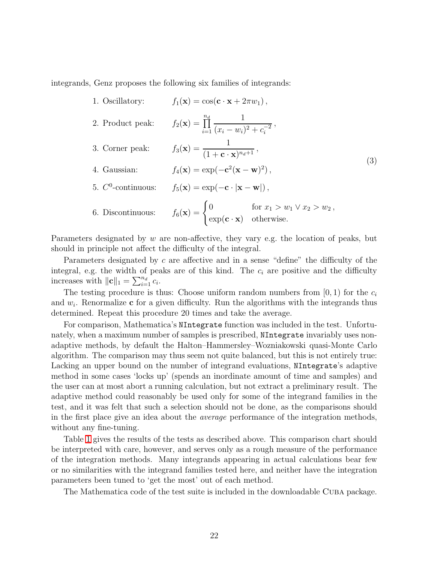integrands, Genz proposes the following six families of integrands:

<span id="page-21-0"></span>

| $f_2(\mathbf{x}) = \prod_{i=1}^{n_d} \frac{1}{(x_i - w_i)^2 + c_i^{-2}}$<br>2. Product peak:<br>$f_3(\mathbf{x}) = \frac{1}{(1 + \mathbf{c} \cdot \mathbf{x})^{n_d+1}},$<br>3. Corner peak:<br>(3)<br>$f_4(\mathbf{x}) = \exp(-c^2(\mathbf{x}-\mathbf{w})^2)$ ,<br>4. Gaussian:<br>5. $C^0$ -continuous:<br>$f_5(\mathbf{x}) = \exp(-\mathbf{c} \cdot  \mathbf{x} - \mathbf{w} ),$<br>$f_6(\mathbf{x}) = \begin{cases} 0 & \text{for } x_1 > w_1 \vee x_2 > w_2, \\ \exp(\mathbf{c} \cdot \mathbf{x}) & \text{otherwise.} \end{cases}$<br>6. Discontinuous: | 1. Oscillatory: | $f_1(\mathbf{x}) = \cos(\mathbf{c} \cdot \mathbf{x} + 2\pi w_1),$ |  |
|-------------------------------------------------------------------------------------------------------------------------------------------------------------------------------------------------------------------------------------------------------------------------------------------------------------------------------------------------------------------------------------------------------------------------------------------------------------------------------------------------------------------------------------------------------------|-----------------|-------------------------------------------------------------------|--|
|                                                                                                                                                                                                                                                                                                                                                                                                                                                                                                                                                             |                 |                                                                   |  |
|                                                                                                                                                                                                                                                                                                                                                                                                                                                                                                                                                             |                 |                                                                   |  |
|                                                                                                                                                                                                                                                                                                                                                                                                                                                                                                                                                             |                 |                                                                   |  |
|                                                                                                                                                                                                                                                                                                                                                                                                                                                                                                                                                             |                 |                                                                   |  |
|                                                                                                                                                                                                                                                                                                                                                                                                                                                                                                                                                             |                 |                                                                   |  |

Parameters designated by w are non-affective, they vary e.g. the location of peaks, but should in principle not affect the difficulty of the integral.

Parameters designated by c are affective and in a sense "define" the difficulty of the integral, e.g. the width of peaks are of this kind. The  $c_i$  are positive and the difficulty increases with  $\|\mathbf{c}\|_1 = \sum_{i=1}^{n_d} c_i$ .

The testing procedure is thus: Choose uniform random numbers from  $[0, 1)$  for the  $c_i$ and  $w_i$ . Renormalize **c** for a given difficulty. Run the algorithms with the integrands thus determined. Repeat this procedure 20 times and take the average.

For comparison, Mathematica's NIntegrate function was included in the test. Unfortunately, when a maximum number of samples is prescribed, NIntegrate invariably uses nonadaptive methods, by default the Halton–Hammersley–Wozniakowski quasi-Monte Carlo algorithm. The comparison may thus seem not quite balanced, but this is not entirely true: Lacking an upper bound on the number of integrand evaluations, NIntegrate's adaptive method in some cases 'locks up' (spends an inordinate amount of time and samples) and the user can at most abort a running calculation, but not extract a preliminary result. The adaptive method could reasonably be used only for some of the integrand families in the test, and it was felt that such a selection should not be done, as the comparisons should in the first place give an idea about the average performance of the integration methods, without any fine-tuning.

Table [1](#page-22-0) gives the results of the tests as described above. This comparison chart should be interpreted with care, however, and serves only as a rough measure of the performance of the integration methods. Many integrands appearing in actual calculations bear few or no similarities with the integrand families tested here, and neither have the integration parameters been tuned to 'get the most' out of each method.

The Mathematica code of the test suite is included in the downloadable Cuba package.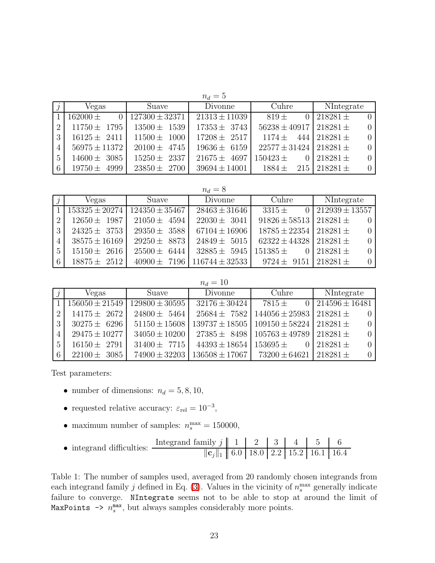| ×<br>. . |  | ۰.<br>v |
|----------|--|---------|
|----------|--|---------|

|                | Vegas             | Suave              | Divonne           | Cuhre                            | NIntegrate                              |
|----------------|-------------------|--------------------|-------------------|----------------------------------|-----------------------------------------|
|                | $162000 \pm$      | $127300 \pm 32371$ | $21313 \pm 11039$ | $819 \pm$                        | $0 \mid 218281 \pm$<br>$\left( \right)$ |
| 2              | $11750 \pm 1795$  | $13500 \pm 1539$   | $17353 \pm 3743$  | $56238 \pm 40917$   218281 $\pm$ | $\left( \right)$                        |
| 3              | $16125 \pm 2411$  | $11500 \pm 1000$   | $17208 \pm 2517$  | $1174 \pm 444$   $218281 \pm$    | 0                                       |
| $\overline{4}$ | $56975 \pm 11372$ | $20100 \pm 4745$   | $19636 \pm 6159$  | $22577 \pm 31424$   218281 $\pm$ | 0                                       |
| $\overline{5}$ | $14600 \pm 3085$  | $15250 \pm 2337$   | $21675 \pm 4697$  | $150423 \pm$<br>0                | $218281 \pm$<br>$\Omega$                |
| 6              | $19750 \pm 4999$  | $23850 \pm 2700$   | $39694 \pm 14001$ | $1884 \pm 215 \cdot 218281 \pm$  | 0                                       |

 $n_d = 8$ 

|                | Vegas                          | Suave              | Divonne                                             | Cuhre                            | NIntegrate                |
|----------------|--------------------------------|--------------------|-----------------------------------------------------|----------------------------------|---------------------------|
|                | $1 \mid 153325 \pm 20274 \mid$ | $124350 \pm 35467$ | $28463 \pm 31646$                                   | $3315 \pm$                       | $0 \mid 212939 \pm 13557$ |
| 2              | $12650 \pm 1987$               | $21050 \pm 4594$   | $22030 \pm 3041$                                    | $91826 \pm 58513$   $218281 \pm$ | $\left( \right)$          |
| $\mathcal{S}$  | $24325 \pm 3753$               | $29350 \pm 3588$   | $67104 \pm 16906$                                   | $18785 \pm 22354$   $218281 \pm$ | $\Omega$                  |
| $\overline{4}$ | $38575 \pm 16169$              | $29250 \pm 8873$   | $24849 \pm 5015$                                    | $62322 \pm 44328$   218281 $\pm$ | 0                         |
| $\overline{5}$ | $15150 \pm 2616$               | $25500 \pm 6444$   | $32885 \pm 5945$                                    | $151385 \pm$<br>$\Omega$         | $218281 \pm$<br>0         |
| 6              | $18875 \pm 2512$               | $40900 \pm 7196$   | $116744 \pm 32533$   9724 $\pm$ 9151   218281 $\pm$ |                                  | 0                         |

 $n_d = 10$ 

|                | Vegas              | Suave              | Divonne           | Cuhre                                                 | NIntegrate                       |
|----------------|--------------------|--------------------|-------------------|-------------------------------------------------------|----------------------------------|
|                | $156050 \pm 21549$ | $129800 \pm 30595$ | $32176 \pm 30424$ | $7815 \pm$<br>$\Omega$                                | $1214596 \pm 16481$              |
| $\overline{2}$ | $14175 \pm 2672$   | $24800 \pm 5464$   |                   | $25684 \pm 7582 \mid 144056 \pm 25983 \mid$           | $218281 \pm$<br>$\left( \right)$ |
| 3              | $30275 \pm 6296$   | $51150 \pm 15608$  |                   | $139737 \pm 18505$   $109150 \pm 58224$               | $218281 \pm$<br>$\Omega$         |
| $\overline{4}$ | $29475 \pm 10277$  | $34050 \pm 10200$  |                   | $27385 \pm 8498 \mid 105763 \pm 49789$                | $218281 \pm$<br>0                |
| 5              | $16150 \pm 2791$   | $31400 \pm 7715$   | $44393 \pm 18654$ | $153695\pm$<br>$\mathbf{0}$                           | $218281 \pm$<br>$\Omega$         |
|                | $22100 \pm 3085$   | $74900 \pm 32203$  |                   | $136508 \pm 17067$   $73200 \pm 64621$   $218281 \pm$ | 0                                |

Test parameters:

- number of dimensions:  $n_d = 5, 8, 10,$
- requested relative accuracy:  $\varepsilon_{rel} = 10^{-3}$ ,
- maximum number of samples:  $n_s^{\text{max}} = 150000$ ,
- integrand difficulties:  $\frac{\text{Integrand family } j \quad 1 \quad 2 \quad 3 \quad 4 \quad 5 \quad 6}{\|\mathbf{c}_j\|_1 \quad 6.0 \quad 18.0 \quad 2.2 \quad 15.2 \quad 16.1 \quad 16.4}$

<span id="page-22-0"></span>Table 1: The number of samples used, averaged from 20 randomly chosen integrands from each integrand family  $j$  defined in Eq. [\(3\)](#page-21-0). Values in the vicinity of  $n_s^{\max}$  generally indicate failure to converge. NIntegrate seems not to be able to stop at around the limit of MaxPoints  $\rightarrow$   $n_s^{\text{max}}$ , but always samples considerably more points.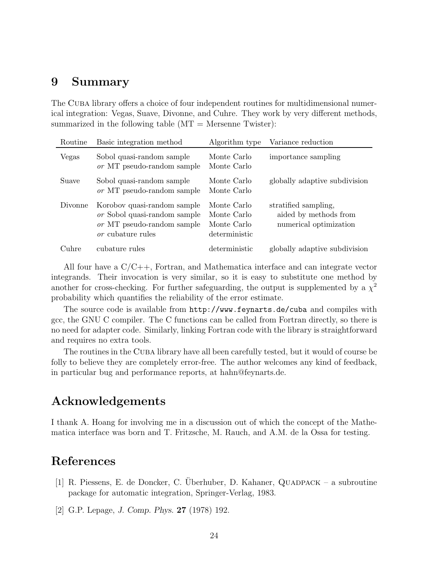# 9 Summary

The Cuba library offers a choice of four independent routines for multidimensional numerical integration: Vegas, Suave, Divonne, and Cuhre. They work by very different methods, summarized in the following table  $(MT =$  Mersenne Twister):

| Routine  | Basic integration method                                                                                              | Algorithm type                                             | Variance reduction                                                      |
|----------|-----------------------------------------------------------------------------------------------------------------------|------------------------------------------------------------|-------------------------------------------------------------------------|
| Vegas    | Sobol quasi-random sample<br>or MT pseudo-random sample                                                               | Monte Carlo<br>Monte Carlo                                 | importance sampling                                                     |
| Suave    | Sobol quasi-random sample<br>or MT pseudo-random sample                                                               | Monte Carlo<br>Monte Carlo                                 | globally adaptive subdivision                                           |
| Divonne  | Korobov quasi-random sample<br>or Sobol quasi-random sample<br>or MT pseudo-random sample<br><i>or</i> cubature rules | Monte Carlo<br>Monte Carlo<br>Monte Carlo<br>deterministic | stratified sampling,<br>aided by methods from<br>numerical optimization |
| $C$ uhre | cubature rules                                                                                                        | deterministic                                              | globally adaptive subdivision                                           |

All four have a C/C++, Fortran, and Mathematica interface and can integrate vector integrands. Their invocation is very similar, so it is easy to substitute one method by another for cross-checking. For further safeguarding, the output is supplemented by a  $\chi^2$ probability which quantifies the reliability of the error estimate.

The source code is available from http://www.feynarts.de/cuba and compiles with gcc, the GNU C compiler. The C functions can be called from Fortran directly, so there is no need for adapter code. Similarly, linking Fortran code with the library is straightforward and requires no extra tools.

The routines in the Cuba library have all been carefully tested, but it would of course be folly to believe they are completely error-free. The author welcomes any kind of feedback, in particular bug and performance reports, at hahn@feynarts.de.

# Acknowledgements

I thank A. Hoang for involving me in a discussion out of which the concept of the Mathematica interface was born and T. Fritzsche, M. Rauch, and A.M. de la Ossa for testing.

# <span id="page-23-0"></span>References

- [1] R. Piessens, E. de Doncker, C. Uberhuber, D. Kahaner, QUADPACK a subroutine package for automatic integration, Springer-Verlag, 1983.
- <span id="page-23-1"></span>[2] G.P. Lepage, J. Comp. Phys. 27 (1978) 192.